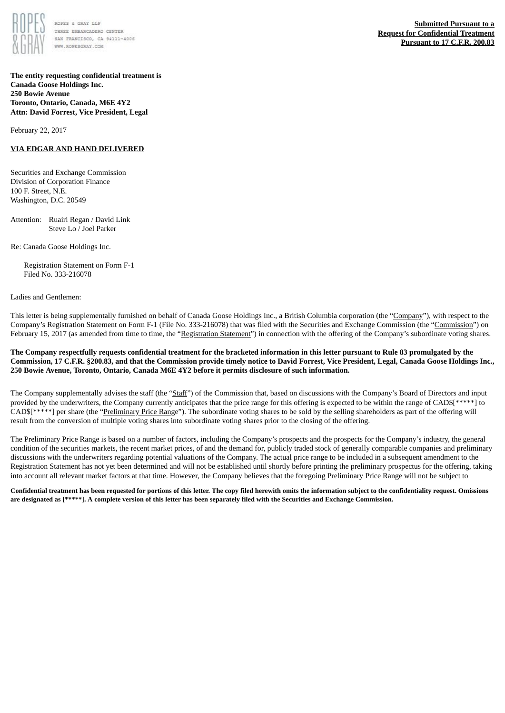

ROPES & GRAY LLP THREE EMBARCADERO CENTER SAN FRANCISCO, CA 94111-4006 WWW.ROPESCRAY.COM

**The entity requesting confidential treatment is Canada Goose Holdings Inc. 250 Bowie Avenue Toronto, Ontario, Canada, M6E 4Y2 Attn: David Forrest, Vice President, Legal**

February 22, 2017

## **VIA EDGAR AND HAND DELIVERED**

Securities and Exchange Commission Division of Corporation Finance 100 F. Street, N.E. Washington, D.C. 20549

Attention: Ruairi Regan / David Link Steve Lo / Joel Parker

Re: Canada Goose Holdings Inc.

Registration Statement on Form F-1 Filed No. 333-216078

#### Ladies and Gentlemen:

This letter is being supplementally furnished on behalf of Canada Goose Holdings Inc., a British Columbia corporation (the "Company"), with respect to the Company's Registration Statement on Form F-1 (File No. 333-216078) that was filed with the Securities and Exchange Commission (the "Commission") on February 15, 2017 (as amended from time to time, the "Registration Statement") in connection with the offering of the Company's subordinate voting shares.

### The Company respectfully requests confidential treatment for the bracketed information in this letter pursuant to Rule 83 promulgated by the Commission, 17 C.F.R. §200.83, and that the Commission provide timely notice to David Forrest, Vice President, Legal, Canada Goose Holdings Inc., **250 Bowie Avenue, Toronto, Ontario, Canada M6E 4Y2 before it permits disclosure of such information.**

The Company supplementally advises the staff (the "Staff") of the Commission that, based on discussions with the Company's Board of Directors and input provided by the underwriters, the Company currently anticipates that the price range for this offering is expected to be within the range of CAD\$[\*\*\*\*\*] to CAD\$[\*\*\*\*\*] per share (the "Preliminary Price Range"). The subordinate voting shares to be sold by the selling shareholders as part of the offering will result from the conversion of multiple voting shares into subordinate voting shares prior to the closing of the offering.

The Preliminary Price Range is based on a number of factors, including the Company's prospects and the prospects for the Company's industry, the general condition of the securities markets, the recent market prices, of and the demand for, publicly traded stock of generally comparable companies and preliminary discussions with the underwriters regarding potential valuations of the Company. The actual price range to be included in a subsequent amendment to the Registration Statement has not yet been determined and will not be established until shortly before printing the preliminary prospectus for the offering, taking into account all relevant market factors at that time. However, the Company believes that the foregoing Preliminary Price Range will not be subject to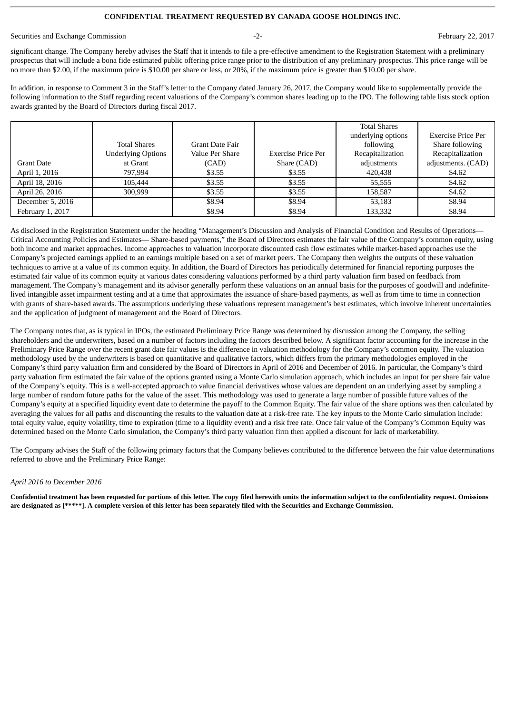### **CONFIDENTIAL TREATMENT REQUESTED BY CANADA GOOSE HOLDINGS INC.**

Securities and Exchange Commission **February 22, 2017 February 22, 2017 February 22, 2017** 

significant change. The Company hereby advises the Staff that it intends to file a pre-effective amendment to the Registration Statement with a preliminary prospectus that will include a bona fide estimated public offering price range prior to the distribution of any preliminary prospectus. This price range will be no more than \$2.00, if the maximum price is \$10.00 per share or less, or 20%, if the maximum price is greater than \$10.00 per share.

In addition, in response to Comment 3 in the Staff's letter to the Company dated January 26, 2017, the Company would like to supplementally provide the following information to the Staff regarding recent valuations of the Company's common shares leading up to the IPO. The following table lists stock option awards granted by the Board of Directors during fiscal 2017.

|                   |                           |                        |                    | <b>Total Shares</b> |                    |
|-------------------|---------------------------|------------------------|--------------------|---------------------|--------------------|
|                   |                           |                        |                    | underlying options  | Exercise Price Per |
|                   | <b>Total Shares</b>       | <b>Grant Date Fair</b> |                    | following           | Share following    |
|                   | <b>Underlying Options</b> | Value Per Share        | Exercise Price Per | Recapitalization    | Recapitalization   |
| <b>Grant Date</b> | at Grant                  | (CAD)                  | Share (CAD)        | adjustments         | adjustments. (CAD) |
| April 1, 2016     | 797.994                   | \$3.55                 | \$3.55             | 420,438             | \$4.62             |
| April 18, 2016    | 105.444                   | \$3.55                 | \$3.55             | 55,555              | \$4.62             |
| April 26, 2016    | 300,999                   | \$3.55                 | \$3.55             | 158.587             | \$4.62             |
| December 5, 2016  |                           | \$8.94                 | \$8.94             | 53,183              | \$8.94             |
| February 1, 2017  |                           | \$8.94                 | \$8.94             | 133,332             | \$8.94             |

As disclosed in the Registration Statement under the heading "Management's Discussion and Analysis of Financial Condition and Results of Operations— Critical Accounting Policies and Estimates— Share-based payments," the Board of Directors estimates the fair value of the Company's common equity, using both income and market approaches. Income approaches to valuation incorporate discounted cash flow estimates while market-based approaches use the Company's projected earnings applied to an earnings multiple based on a set of market peers. The Company then weights the outputs of these valuation techniques to arrive at a value of its common equity. In addition, the Board of Directors has periodically determined for financial reporting purposes the estimated fair value of its common equity at various dates considering valuations performed by a third party valuation firm based on feedback from management. The Company's management and its advisor generally perform these valuations on an annual basis for the purposes of goodwill and indefinitelived intangible asset impairment testing and at a time that approximates the issuance of share-based payments, as well as from time to time in connection with grants of share-based awards. The assumptions underlying these valuations represent management's best estimates, which involve inherent uncertainties and the application of judgment of management and the Board of Directors.

The Company notes that, as is typical in IPOs, the estimated Preliminary Price Range was determined by discussion among the Company, the selling shareholders and the underwriters, based on a number of factors including the factors described below. A significant factor accounting for the increase in the Preliminary Price Range over the recent grant date fair values is the difference in valuation methodology for the Company's common equity. The valuation methodology used by the underwriters is based on quantitative and qualitative factors, which differs from the primary methodologies employed in the Company's third party valuation firm and considered by the Board of Directors in April of 2016 and December of 2016. In particular, the Company's third party valuation firm estimated the fair value of the options granted using a Monte Carlo simulation approach, which includes an input for per share fair value of the Company's equity. This is a well-accepted approach to value financial derivatives whose values are dependent on an underlying asset by sampling a large number of random future paths for the value of the asset. This methodology was used to generate a large number of possible future values of the Company's equity at a specified liquidity event date to determine the payoff to the Common Equity. The fair value of the share options was then calculated by averaging the values for all paths and discounting the results to the valuation date at a risk-free rate. The key inputs to the Monte Carlo simulation include: total equity value, equity volatility, time to expiration (time to a liquidity event) and a risk free rate. Once fair value of the Company's Common Equity was determined based on the Monte Carlo simulation, the Company's third party valuation firm then applied a discount for lack of marketability.

The Company advises the Staff of the following primary factors that the Company believes contributed to the difference between the fair value determinations referred to above and the Preliminary Price Range:

#### *April 2016 to December 2016*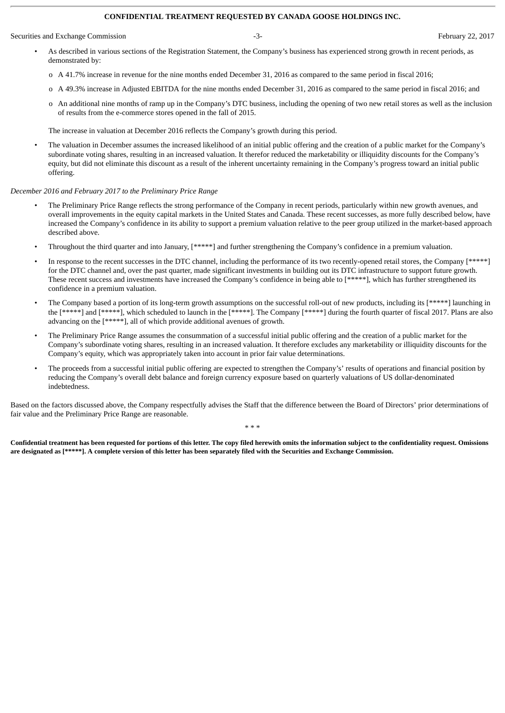#### **CONFIDENTIAL TREATMENT REQUESTED BY CANADA GOOSE HOLDINGS INC.**

Securities and Exchange Commission **February 22, 2017** -3- February 22, 2017

- As described in various sections of the Registration Statement, the Company's business has experienced strong growth in recent periods, as demonstrated by:
	- o A 41.7% increase in revenue for the nine months ended December 31, 2016 as compared to the same period in fiscal 2016;
- o A 49.3% increase in Adjusted EBITDA for the nine months ended December 31, 2016 as compared to the same period in fiscal 2016; and
- o An additional nine months of ramp up in the Company's DTC business, including the opening of two new retail stores as well as the inclusion of results from the e-commerce stores opened in the fall of 2015.

The increase in valuation at December 2016 reflects the Company's growth during this period.

• The valuation in December assumes the increased likelihood of an initial public offering and the creation of a public market for the Company's subordinate voting shares, resulting in an increased valuation. It therefor reduced the marketability or illiquidity discounts for the Company's equity, but did not eliminate this discount as a result of the inherent uncertainty remaining in the Company's progress toward an initial public offering.

# *December 2016 and February 2017 to the Preliminary Price Range*

- The Preliminary Price Range reflects the strong performance of the Company in recent periods, particularly within new growth avenues, and overall improvements in the equity capital markets in the United States and Canada. These recent successes, as more fully described below, have increased the Company's confidence in its ability to support a premium valuation relative to the peer group utilized in the market-based approach described above.
- Throughout the third quarter and into January, [\*\*\*\*\*] and further strengthening the Company's confidence in a premium valuation.
- In response to the recent successes in the DTC channel, including the performance of its two recently-opened retail stores, the Company [\*\*\*\*\*] for the DTC channel and, over the past quarter, made significant investments in building out its DTC infrastructure to support future growth. These recent success and investments have increased the Company's confidence in being able to [\*\*\*\*\*], which has further strengthened its confidence in a premium valuation.
- The Company based a portion of its long-term growth assumptions on the successful roll-out of new products, including its [\*\*\*\*\*] launching in the [\*\*\*\*\*] and [\*\*\*\*\*], which scheduled to launch in the [\*\*\*\*\*]. The Company [\*\*\*\*\*] during the fourth quarter of fiscal 2017. Plans are also advancing on the [\*\*\*\*\*], all of which provide additional avenues of growth.
- The Preliminary Price Range assumes the consummation of a successful initial public offering and the creation of a public market for the Company's subordinate voting shares, resulting in an increased valuation. It therefore excludes any marketability or illiquidity discounts for the Company's equity, which was appropriately taken into account in prior fair value determinations.
- The proceeds from a successful initial public offering are expected to strengthen the Company's' results of operations and financial position by reducing the Company's overall debt balance and foreign currency exposure based on quarterly valuations of US dollar-denominated indebtedness.

Based on the factors discussed above, the Company respectfully advises the Staff that the difference between the Board of Directors' prior determinations of fair value and the Preliminary Price Range are reasonable.

\* \* \*